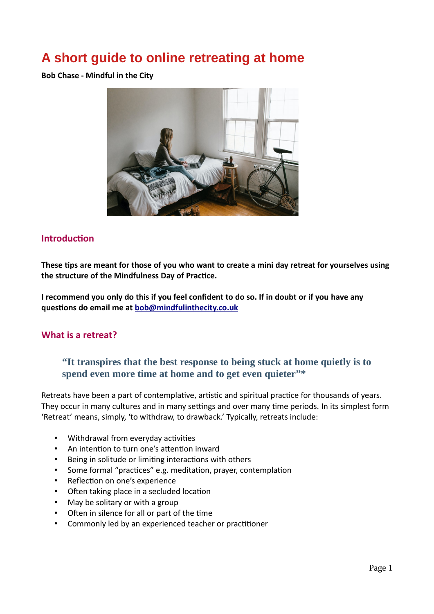# **A short guide to online retreating at home**

**Bob Chase - Mindful in the City**



# **Introduction**

**These tips are meant for those of you who want to create a mini day retreat for yourselves using the structure of the Mindfulness Day of Practice.** 

**I recommend you only do this if you feel confident to do so. If in doubt or if you have any questions do email me at [bob@mindfulinthecity.co.uk](mailto:bob@mindfulinthecity.co.uk)**

# **What is a retreat?**

# **"It transpires that the best response to being stuck at home quietly is to spend even more time at home and to get even quieter"\***

Retreats have been a part of contemplative, artistic and spiritual practice for thousands of years. They occur in many cultures and in many settings and over many time periods. In its simplest form 'Retreat' means, simply, 'to withdraw, to drawback.' Typically, retreats include:

- Withdrawal from everyday activities
- An intention to turn one's attention inward
- Being in solitude or limiting interactions with others
- Some formal "practices" e.g. meditation, prayer, contemplation
- Reflection on one's experience
- Often taking place in a secluded location
- May be solitary or with a group
- Often in silence for all or part of the time
- Commonly led by an experienced teacher or practitioner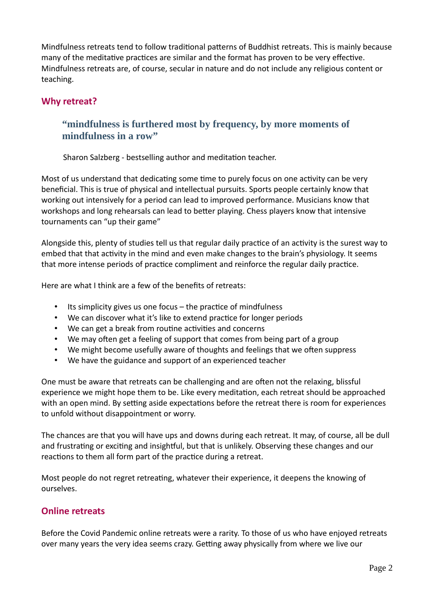Mindfulness retreats tend to follow traditional patterns of Buddhist retreats. This is mainly because many of the meditative practices are similar and the format has proven to be very effective. Mindfulness retreats are, of course, secular in nature and do not include any religious content or teaching.

# **Why retreat?**

# **"mindfulness is furthered most by frequency, by more moments of mindfulness in a row"**

Sharon Salzberg - bestselling author and meditation teacher.

Most of us understand that dedicating some time to purely focus on one activity can be very beneficial. This is true of physical and intellectual pursuits. Sports people certainly know that working out intensively for a period can lead to improved performance. Musicians know that workshops and long rehearsals can lead to better playing. Chess players know that intensive tournaments can "up their game"

Alongside this, plenty of studies tell us that regular daily practice of an activity is the surest way to embed that that activity in the mind and even make changes to the brain's physiology. It seems that more intense periods of practice compliment and reinforce the regular daily practice.

Here are what I think are a few of the benefits of retreats:

- Its simplicity gives us one focus  $-$  the practice of mindfulness
- We can discover what it's like to extend practice for longer periods
- We can get a break from routine activities and concerns
- We may often get a feeling of support that comes from being part of a group
- We might become usefully aware of thoughts and feelings that we often suppress
- We have the guidance and support of an experienced teacher

One must be aware that retreats can be challenging and are often not the relaxing, blissful experience we might hope them to be. Like every meditation, each retreat should be approached with an open mind. By setting aside expectations before the retreat there is room for experiences to unfold without disappointment or worry.

The chances are that you will have ups and downs during each retreat. It may, of course, all be dull and frustrating or exciting and insightful, but that is unlikely. Observing these changes and our reactions to them all form part of the practice during a retreat.

Most people do not regret retreating, whatever their experience, it deepens the knowing of ourselves.

# **Online retreats**

Before the Covid Pandemic online retreats were a rarity. To those of us who have enjoyed retreats over many years the very idea seems crazy. Getting away physically from where we live our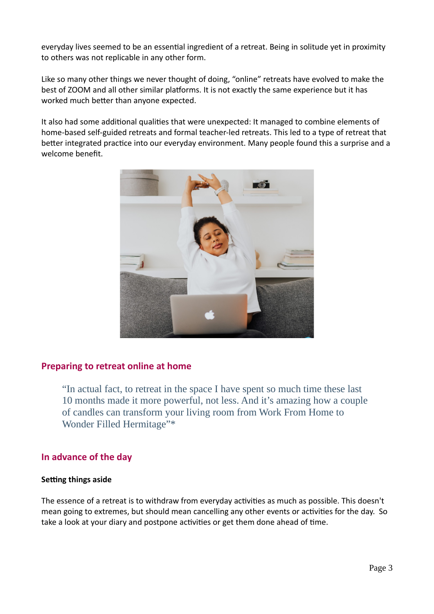everyday lives seemed to be an essential ingredient of a retreat. Being in solitude yet in proximity to others was not replicable in any other form.

Like so many other things we never thought of doing, "online" retreats have evolved to make the best of ZOOM and all other similar platforms. It is not exactly the same experience but it has worked much better than anyone expected.

It also had some additional qualities that were unexpected: It managed to combine elements of home-based self-guided retreats and formal teacher-led retreats. This led to a type of retreat that better integrated practice into our everyday environment. Many people found this a surprise and a welcome benefit.



# **Preparing to retreat online at home**

"In actual fact, to retreat in the space I have spent so much time these last 10 months made it more powerful, not less. And it's amazing how a couple of candles can transform your living room from Work From Home to Wonder Filled Hermitage"\*

# **In advance of the day**

#### **Setting things aside**

The essence of a retreat is to withdraw from everyday activities as much as possible. This doesn't mean going to extremes, but should mean cancelling any other events or activities for the day. So take a look at your diary and postpone activities or get them done ahead of time.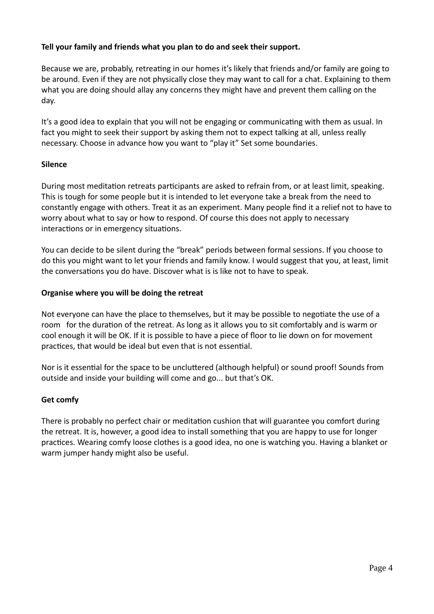# **Tell your family and friends what you plan to do and seek their support.**

Because we are, probably, retreating in our homes it's likely that friends and/or family are going to be around. Even if they are not physically close they may want to call for a chat. Explaining to them what you are doing should allay any concerns they might have and prevent them calling on the day.

It's a good idea to explain that you will not be engaging or communicating with them as usual. In fact you might to seek their support by asking them not to expect talking at all, unless really necessary. Choose in advance how you want to "play it" Set some boundaries.

## **Silence**

During most meditation retreats participants are asked to refrain from, or at least limit, speaking. This is tough for some people but it is intended to let everyone take a break from the need to constantly engage with others. Treat it as an experiment. Many people find it a relief not to have to worry about what to say or how to respond. Of course this does not apply to necessary interactions or in emergency situations.

You can decide to be silent during the "break" periods between formal sessions. If you choose to do this you might want to let your friends and family know. I would suggest that you, at least, limit the conversations you do have. Discover what is is like not to have to speak.

#### **Organise where you will be doing the retreat**

Not everyone can have the place to themselves, but it may be possible to negotiate the use of a room for the duration of the retreat. As long as it allows you to sit comfortably and is warm or cool enough it will be OK. If it is possible to have a piece of floor to lie down on for movement practices, that would be ideal but even that is not essential.

Nor is it essential for the space to be uncluttered (although helpful) or sound proof! Sounds from outside and inside your building will come and go... but that's OK.

#### **Get comfy**

There is probably no perfect chair or meditation cushion that will guarantee you comfort during the retreat. It is, however, a good idea to install something that you are happy to use for longer practices. Wearing comfy loose clothes is a good idea, no one is watching you. Having a blanket or warm jumper handy might also be useful.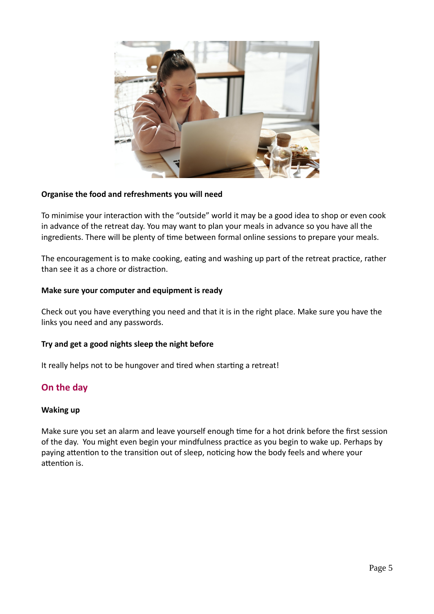

## **Organise the food and refreshments you will need**

To minimise your interaction with the "outside" world it may be a good idea to shop or even cook in advance of the retreat day. You may want to plan your meals in advance so you have all the ingredients. There will be plenty of time between formal online sessions to prepare your meals.

The encouragement is to make cooking, eating and washing up part of the retreat practice, rather than see it as a chore or distraction.

#### **Make sure your computer and equipment is ready**

Check out you have everything you need and that it is in the right place. Make sure you have the links you need and any passwords.

#### **Try and get a good nights sleep the night before**

It really helps not to be hungover and tired when starting a retreat!

# **On the day**

#### **Waking up**

Make sure you set an alarm and leave yourself enough time for a hot drink before the first session of the day. You might even begin your mindfulness practice as you begin to wake up. Perhaps by paying attention to the transition out of sleep, noticing how the body feels and where your attention is.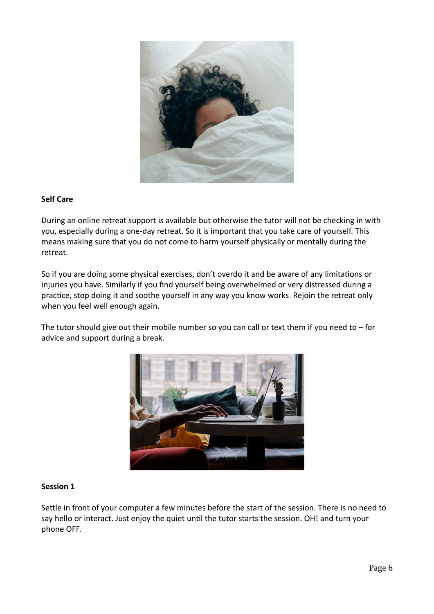

## **Self Care**

During an online retreat support is available but otherwise the tutor will not be checking in with you, especially during a one-day retreat. So it is important that you take care of yourself. This means making sure that you do not come to harm yourself physically or mentally during the retreat.

So if you are doing some physical exercises, don't overdo it and be aware of any limitations or injuries you have. Similarly if you find yourself being overwhelmed or very distressed during a practice, stop doing it and soothe yourself in any way you know works. Rejoin the retreat only when you feel well enough again.

The tutor should give out their mobile number so you can call or text them if you need to  $-$  for advice and support during a break.



#### **Session 1**

Settle in front of your computer a few minutes before the start of the session. There is no need to say hello or interact. Just enjoy the quiet until the tutor starts the session. OH! and turn your phone OFF.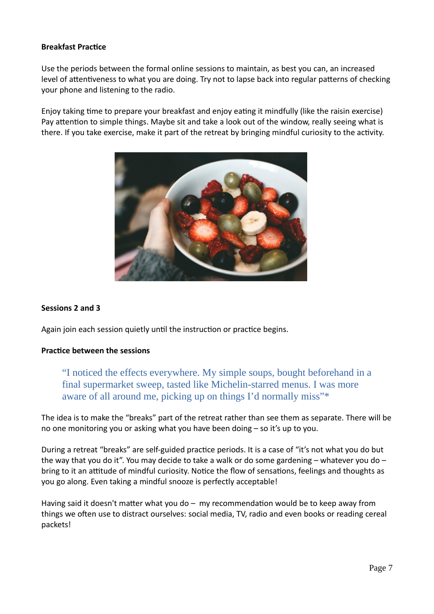## **Breakfast Practice**

Use the periods between the formal online sessions to maintain, as best you can, an increased level of attentiveness to what you are doing. Try not to lapse back into regular patterns of checking your phone and listening to the radio.

Enjoy taking time to prepare your breakfast and enjoy eating it mindfully (like the raisin exercise) Pay attention to simple things. Maybe sit and take a look out of the window, really seeing what is there. If you take exercise, make it part of the retreat by bringing mindful curiosity to the activity.



## **Sessions 2 and 3**

Again join each session quietly until the instruction or practice begins.

#### **Practice between the sessions**

"I noticed the effects everywhere. My simple soups, bought beforehand in a final supermarket sweep, tasted like Michelin-starred menus. I was more aware of all around me, picking up on things I'd normally miss"\*

The idea is to make the "breaks" part of the retreat rather than see them as separate. There will be no one monitoring you or asking what you have been doing – so it's up to you.

During a retreat "breaks" are self-guided practice periods. It is a case of "it's not what you do but the way that you do it". You may decide to take a walk or do some gardening  $-$  whatever you do  $$ bring to it an attitude of mindful curiosity. Notice the flow of sensations, feelings and thoughts as you go along. Even taking a mindful snooze is perfectly acceptable!

Having said it doesn't matter what you do  $-$  my recommendation would be to keep away from things we often use to distract ourselves: social media, TV, radio and even books or reading cereal packets!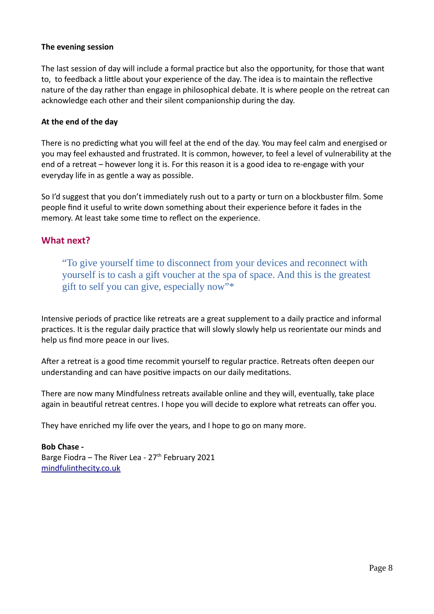## **The evening session**

The last session of day will include a formal practice but also the opportunity, for those that want to, to feedback a little about your experience of the day. The idea is to maintain the reflective nature of the day rather than engage in philosophical debate. It is where people on the retreat can acknowledge each other and their silent companionship during the day.

## **At the end of the day**

There is no predicting what you will feel at the end of the day. You may feel calm and energised or you may feel exhausted and frustrated. It is common, however, to feel a level of vulnerability at the end of a retreat – however long it is. For this reason it is a good idea to re-engage with your everyday life in as gentle a way as possible.

So I'd suggest that you don't immediately rush out to a party or turn on a blockbuster film. Some people find it useful to write down something about their experience before it fades in the memory. At least take some time to reflect on the experience.

# **What next?**

"To give yourself time to disconnect from your devices and reconnect with yourself is to cash a gift voucher at the spa of space. And this is the greatest gift to self you can give, especially now"\*

Intensive periods of practice like retreats are a great supplement to a daily practice and informal practices. It is the regular daily practice that will slowly slowly help us reorientate our minds and help us find more peace in our lives.

After a retreat is a good time recommit yourself to regular practice. Retreats often deepen our understanding and can have positive impacts on our daily meditations.

There are now many Mindfulness retreats available online and they will, eventually, take place again in beautiful retreat centres. I hope you will decide to explore what retreats can offer you.

They have enriched my life over the years, and I hope to go on many more.

**Bob Chase -** Barge Fiodra – The River Lea -  $27<sup>th</sup>$  February 2021 [mindfulinthecity.co.uk](http://mindfulinthecity.co.uk/)